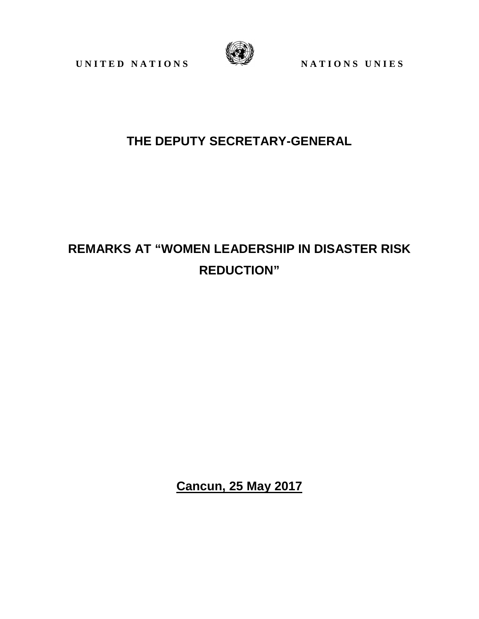UNITED NATIONS WATERS



## **THE DEPUTY SECRETARY-GENERAL**

## **REMARKS AT "WOMEN LEADERSHIP IN DISASTER RISK REDUCTION"**

**Cancun, 25 May 2017**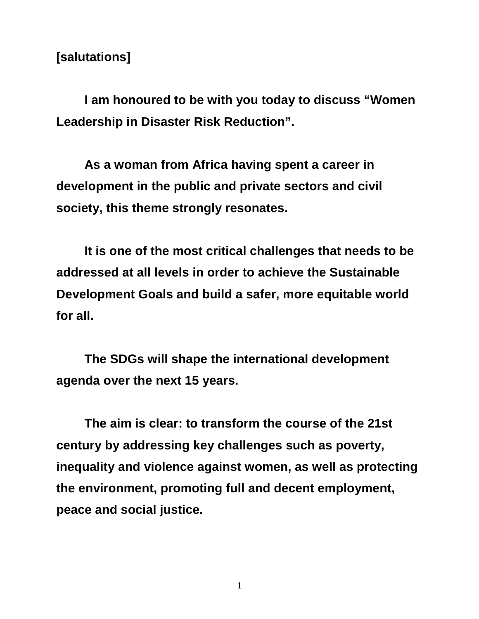## **[salutations]**

**I am honoured to be with you today to discuss "Women Leadership in Disaster Risk Reduction".** 

**As a woman from Africa having spent a career in development in the public and private sectors and civil society, this theme strongly resonates.** 

**It is one of the most critical challenges that needs to be addressed at all levels in order to achieve the Sustainable Development Goals and build a safer, more equitable world for all.** 

**The SDGs will shape the international development agenda over the next 15 years.** 

**The aim is clear: to transform the course of the 21st century by addressing key challenges such as poverty, inequality and violence against women, as well as protecting the environment, promoting full and decent employment, peace and social justice.**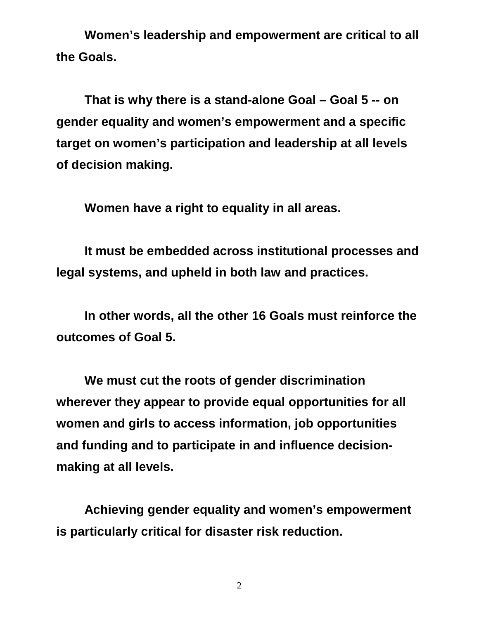**Women's leadership and empowerment are critical to all the Goals.** 

**That is why there is a stand-alone Goal – Goal 5 -- on gender equality and women's empowerment and a specific target on women's participation and leadership at all levels of decision making.** 

**Women have a right to equality in all areas.** 

**It must be embedded across institutional processes and legal systems, and upheld in both law and practices.** 

**In other words, all the other 16 Goals must reinforce the outcomes of Goal 5.** 

**We must cut the roots of gender discrimination wherever they appear to provide equal opportunities for all women and girls to access information, job opportunities and funding and to participate in and influence decisionmaking at all levels.** 

**Achieving gender equality and women's empowerment is particularly critical for disaster risk reduction.**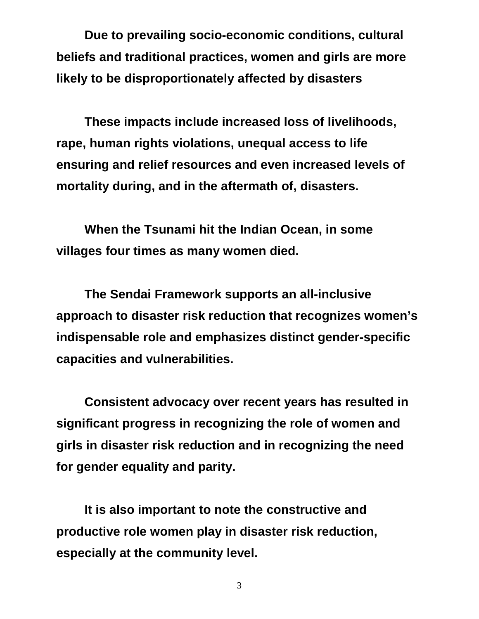**Due to prevailing socio-economic conditions, cultural beliefs and traditional practices, women and girls are more likely to be disproportionately affected by disasters** 

**These impacts include increased loss of livelihoods, rape, human rights violations, unequal access to life ensuring and relief resources and even increased levels of mortality during, and in the aftermath of, disasters.** 

**When the Tsunami hit the Indian Ocean, in some villages four times as many women died.** 

**The Sendai Framework supports an all-inclusive approach to disaster risk reduction that recognizes women's indispensable role and emphasizes distinct gender-specific capacities and vulnerabilities.** 

**Consistent advocacy over recent years has resulted in significant progress in recognizing the role of women and girls in disaster risk reduction and in recognizing the need for gender equality and parity.** 

**It is also important to note the constructive and productive role women play in disaster risk reduction, especially at the community level.**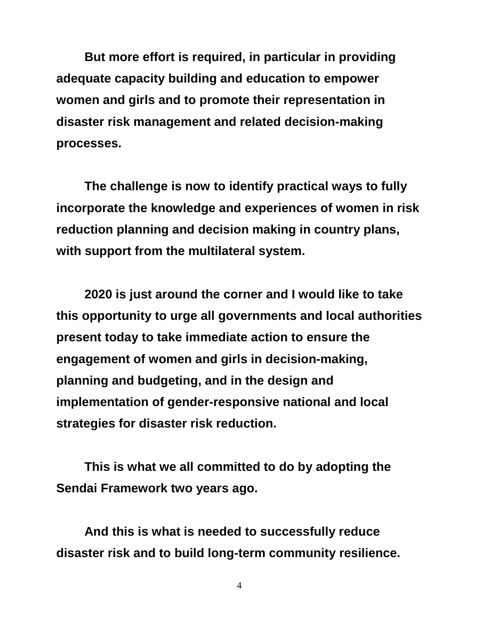**But more effort is required, in particular in providing adequate capacity building and education to empower women and girls and to promote their representation in disaster risk management and related decision-making processes.** 

**The challenge is now to identify practical ways to fully incorporate the knowledge and experiences of women in risk reduction planning and decision making in country plans, with support from the multilateral system.** 

**2020 is just around the corner and I would like to take this opportunity to urge all governments and local authorities present today to take immediate action to ensure the engagement of women and girls in decision-making, planning and budgeting, and in the design and implementation of gender-responsive national and local strategies for disaster risk reduction.** 

**This is what we all committed to do by adopting the Sendai Framework two years ago.** 

**And this is what is needed to successfully reduce disaster risk and to build long-term community resilience.**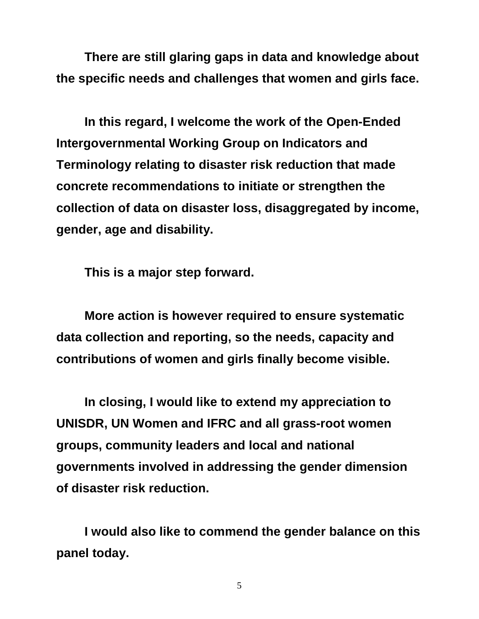**There are still glaring gaps in data and knowledge about the specific needs and challenges that women and girls face.** 

**In this regard, I welcome the work of the Open-Ended Intergovernmental Working Group on Indicators and Terminology relating to disaster risk reduction that made concrete recommendations to initiate or strengthen the collection of data on disaster loss, disaggregated by income, gender, age and disability.** 

**This is a major step forward.** 

**More action is however required to ensure systematic data collection and reporting, so the needs, capacity and contributions of women and girls finally become visible.** 

**In closing, I would like to extend my appreciation to UNISDR, UN Women and IFRC and all grass-root women groups, community leaders and local and national governments involved in addressing the gender dimension of disaster risk reduction.** 

**I would also like to commend the gender balance on this panel today.**